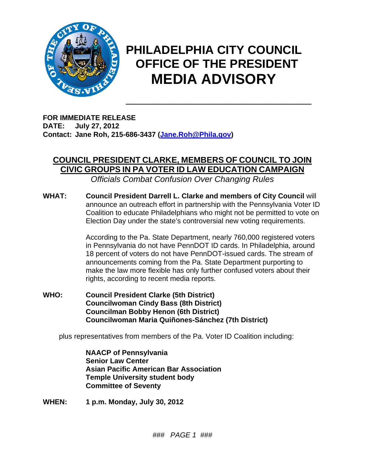

## **PHILADELPHIA CITY COUNCIL OFFICE OF THE PRESIDENT MEDIA ADVISORY**

**\_\_\_\_\_\_\_\_\_\_\_\_\_\_\_\_\_\_\_\_** 

**FOR IMMEDIATE RELEASE DATE: July 27, 2012 Contact: Jane Roh, 215-686-3437 (Jane.Roh@Phila.gov)** 

## **COUNCIL PRESIDENT CLARKE, MEMBERS OF COUNCIL TO JOIN CIVIC GROUPS IN PA VOTER ID LAW EDUCATION CAMPAIGN**

*Officials Combat Confusion Over Changing Rules* 

**WHAT: Council President Darrell L. Clarke and members of City Council** will announce an outreach effort in partnership with the Pennsylvania Voter ID Coalition to educate Philadelphians who might not be permitted to vote on Election Day under the state's controversial new voting requirements.

> According to the Pa. State Department, nearly 760,000 registered voters in Pennsylvania do not have PennDOT ID cards. In Philadelphia, around 18 percent of voters do not have PennDOT-issued cards. The stream of announcements coming from the Pa. State Department purporting to make the law more flexible has only further confused voters about their rights, according to recent media reports.

**WHO: Council President Clarke (5th District) Councilwoman Cindy Bass (8th District) Councilman Bobby Henon (6th District) Councilwoman Maria Quiñones-Sánchez (7th District)** 

plus representatives from members of the Pa. Voter ID Coalition including:

 **NAACP of Pennsylvania Senior Law Center Asian Pacific American Bar Association Temple University student body Committee of Seventy** 

**WHEN: 1 p.m. Monday, July 30, 2012**